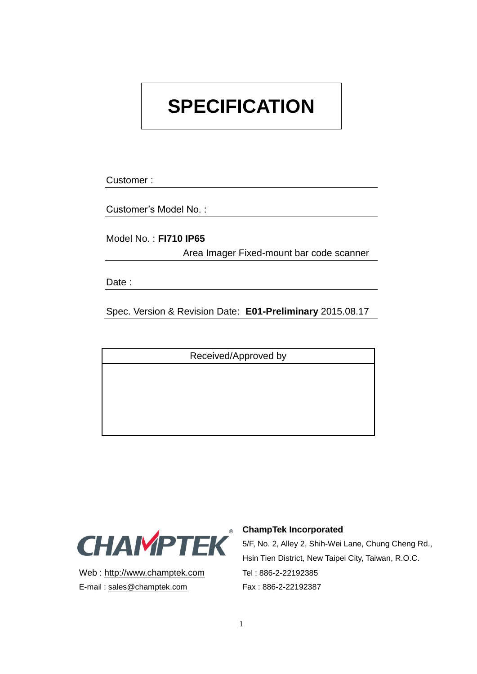# **SPECIFICATION**

Customer :

Customer's Model No. :

Model No. : **FI710 IP65**

Area Imager Fixed-mount bar code scanner

Date :

Spec. Version & Revision Date: **E01-Preliminary** 2015.08.17

Received/Approved by



Web : http://www.champtek.com Tel : 886-2-22192385 E-mail: sales@champtek.com Fax: 886-2-22192387

#### **ChampTek Incorporated**

5/F, No. 2, Alley 2, Shih-Wei Lane, Chung Cheng Rd., Hsin Tien District, New Taipei City, Taiwan, R.O.C.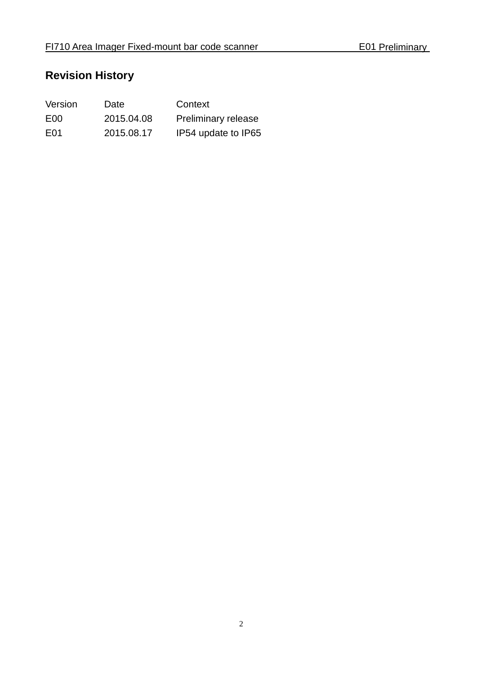# **Revision History**

| Version          | Date       | Context             |
|------------------|------------|---------------------|
| E <sub>00</sub>  | 2015.04.08 | Preliminary release |
| E <sub>0</sub> 1 | 2015.08.17 | IP54 update to IP65 |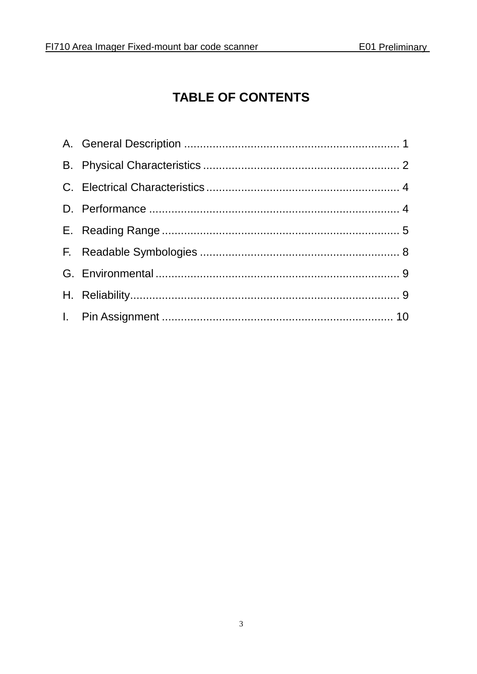# **TABLE OF CONTENTS**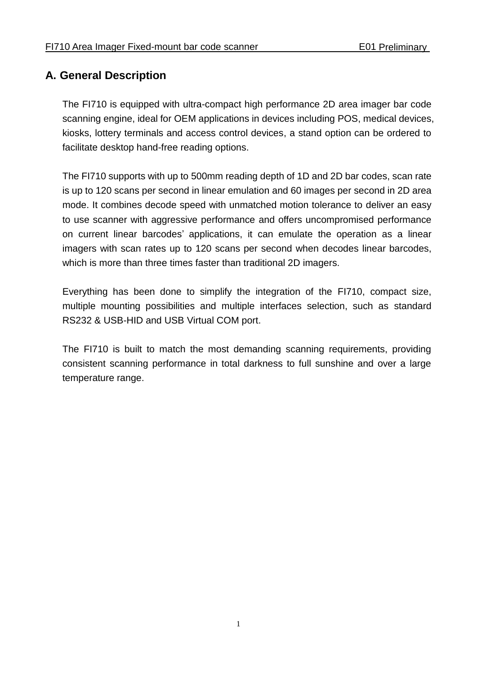#### <span id="page-3-0"></span>**A. General Description**

The FI710 is equipped with ultra-compact high performance 2D area imager bar code scanning engine, ideal for OEM applications in devices including POS, medical devices, kiosks, lottery terminals and access control devices, a stand option can be ordered to facilitate desktop hand-free reading options.

The FI710 supports with up to 500mm reading depth of 1D and 2D bar codes, scan rate is up to 120 scans per second in linear emulation and 60 images per second in 2D area mode. It combines decode speed with unmatched motion tolerance to deliver an easy to use scanner with aggressive performance and offers uncompromised performance on current linear barcodes' applications, it can emulate the operation as a linear imagers with scan rates up to 120 scans per second when decodes linear barcodes, which is more than three times faster than traditional 2D imagers.

Everything has been done to simplify the integration of the FI710, compact size, multiple mounting possibilities and multiple interfaces selection, such as standard RS232 & USB-HID and USB Virtual COM port.

The FI710 is built to match the most demanding scanning requirements, providing consistent scanning performance in total darkness to full sunshine and over a large temperature range.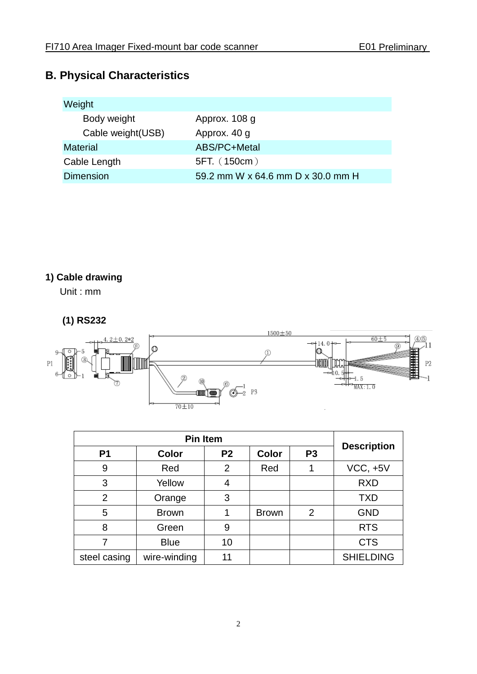## <span id="page-4-0"></span>**B. Physical Characteristics**

| Weight             |                                   |
|--------------------|-----------------------------------|
| Body weight        | Approx. 108 g                     |
| Cable weight (USB) | Approx. 40 g                      |
| <b>Material</b>    | ABS/PC+Metal                      |
| Cable Length       | 5FT. (150cm)                      |
| <b>Dimension</b>   | 59.2 mm W x 64.6 mm D x 30.0 mm H |

## **1) Cable drawing**

Unit : mm

#### **(1) RS232**



| P <sub>1</sub> | <b>Color</b> | P <sub>2</sub> | <b>Color</b> | P <sub>3</sub> | <b>Description</b> |
|----------------|--------------|----------------|--------------|----------------|--------------------|
| 9              | Red          | $\overline{2}$ | Red          |                | $VCC, +5V$         |
| 3              | Yellow       | 4              |              |                | <b>RXD</b>         |
| $\overline{2}$ | Orange       | 3              |              |                | <b>TXD</b>         |
| 5              | <b>Brown</b> |                | <b>Brown</b> | $\overline{2}$ | <b>GND</b>         |
| 8              | Green        | 9              |              |                | <b>RTS</b>         |
|                | <b>Blue</b>  | 10             |              |                | <b>CTS</b>         |
| steel casing   | wire-winding | 11             |              |                | <b>SHIELDING</b>   |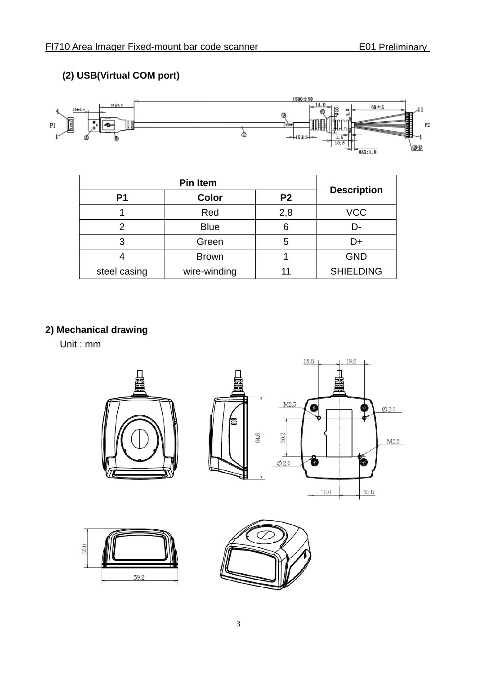#### **(2) USB(Virtual COM port)**



| P <sub>1</sub> | Color        | P <sub>2</sub> | <b>Description</b> |
|----------------|--------------|----------------|--------------------|
|                | Red          | 2,8            | <b>VCC</b>         |
|                | <b>Blue</b>  | 6              | D-                 |
| 3              | Green        | 5              | D+                 |
|                | <b>Brown</b> |                | <b>GND</b>         |
| steel casing   | wire-winding | 11             | <b>SHIELDING</b>   |

#### **2) Mechanical drawing**

Unit : mm

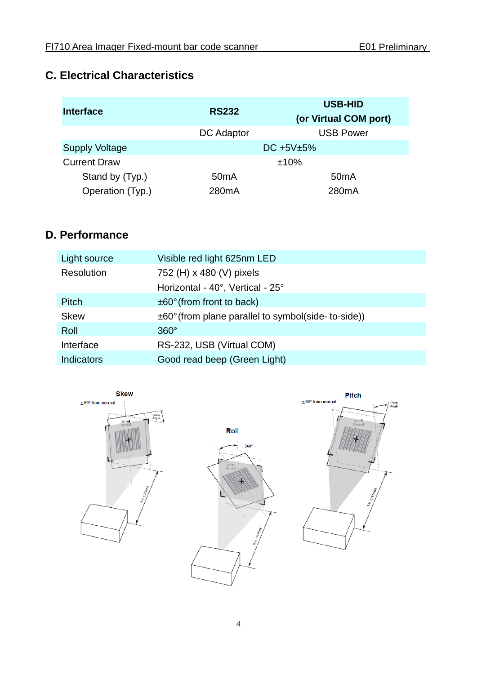#### <span id="page-6-0"></span>**C. Electrical Characteristics**

| Interface             | <b>RS232</b>      | <b>USB-HID</b><br>(or Virtual COM port) |
|-----------------------|-------------------|-----------------------------------------|
|                       | <b>DC</b> Adaptor | <b>USB Power</b>                        |
| <b>Supply Voltage</b> |                   | DC $+5V±5%$                             |
| <b>Current Draw</b>   |                   | ±10%                                    |
| Stand by (Typ.)       | 50 <sub>m</sub> A | 50 <sub>m</sub> A                       |
| Operation (Typ.)      | 280mA             | 280mA                                   |

## <span id="page-6-1"></span>**D. Performance**

| Light source | Visible red light 625nm LED                                  |
|--------------|--------------------------------------------------------------|
| Resolution   | 752 (H) x 480 (V) pixels                                     |
|              | Horizontal - 40°, Vertical - 25°                             |
| <b>Pitch</b> | $\pm 60^\circ$ (from front to back)                          |
| <b>Skew</b>  | $\pm 60^\circ$ (from plane parallel to symbol(side-to-side)) |
| Roll         | $360^\circ$                                                  |
| Interface    | RS-232, USB (Virtual COM)                                    |
| Indicators   | Good read beep (Green Light)                                 |

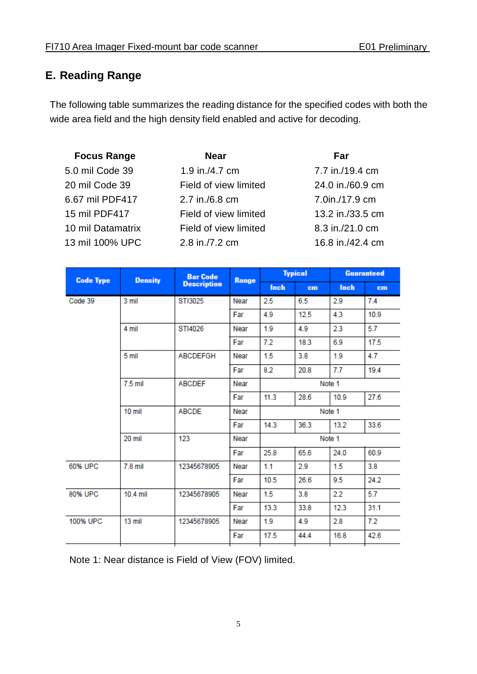#### <span id="page-7-0"></span>**E. Reading Range**

The following table summarizes the reading distance for the specified codes with both the wide area field and the high density field enabled and active for decoding.

| <b>Focus Range</b> | <b>Near</b>           | Far              |
|--------------------|-----------------------|------------------|
| 5.0 mil Code 39    | 1.9 in./4.7 cm        | 7.7 in./19.4 cm  |
| 20 mil Code 39     | Field of view limited | 24.0 in./60.9 cm |
| 6.67 mil PDF417    | 2.7 in./6.8 cm        | 7.0in./17.9 cm   |
| 15 mil PDF417      | Field of view limited | 13.2 in./33.5 cm |
| 10 mil Datamatrix  | Field of view limited | 8.3 in./21.0 cm  |
| 13 mil 100% UPC    | 2.8 in./7.2 cm        | 16.8 in./42.4 cm |

| <b>Code Type</b> | <b>Density</b> | <b>Bar Code</b>    | Range |        | <b>Typical</b> |        | <b>Guaranteed</b> |
|------------------|----------------|--------------------|-------|--------|----------------|--------|-------------------|
|                  |                | <b>Description</b> |       | Inch   | cm             | Inch   | cm                |
| Code 39          | 3 mil          | ST13025            | Near  | 2.5    | 6.5            | 2.9    | 7.4               |
|                  |                |                    | Far   | 4.9    | 12.5           | 4.3    | 10.9              |
|                  | 4 mil          | STI4026            | Near  | 1.9    | 4.9            | 2.3    | 5.7               |
|                  |                |                    | Far   | 7.2    | 18.3           | 6.9    | 17.5              |
|                  | 5 mil          | <b>ABCDEFGH</b>    | Near  | 1.5    | 3.8            | 1.9    | 4.7               |
|                  |                |                    | Far   | 8.2    | 20.8           | 7.7    | 19.4              |
|                  | 7.5 mil        | <b>ABCDEF</b>      | Near  |        |                | Note 1 |                   |
|                  |                |                    | Far   | 11.3   | 28.6           | 10.9   | 27.6              |
|                  | 10 mil         | ABCDE              | Near  | Note 1 |                |        |                   |
|                  |                |                    | Far   | 14.3   | 36.3           | 13.2   | 33.6              |
|                  | 20 mil         | 123                | Near  | Note 1 |                |        |                   |
|                  |                |                    | Far   | 25.8   | 65.6           | 24.0   | 60.9              |
| 60% UPC          | $7.8$ mil      | 12345678905        | Near  | 1.1    | 2.9            | 1.5    | 3.8               |
|                  |                |                    | Far   | 10.5   | 26.6           | 9.5    | 24.2              |
| 80% UPC          | 10.4 mil       | 12345678905        | Near  | 1.5    | 3.8            | 2.2    | 5.7               |
|                  |                |                    | Far   | 13.3   | 33.8           | 12.3   | 31.1              |
| 100% UPC         | $13$ mil       | 12345678905        | Near  | 1.9    | 4.9            | 2.8    | 7.2               |
|                  |                |                    | Far   | 17.5   | 44.4           | 16.8   | 42.6              |
|                  |                |                    |       |        |                |        |                   |

Note 1: Near distance is Field of View (FOV) limited.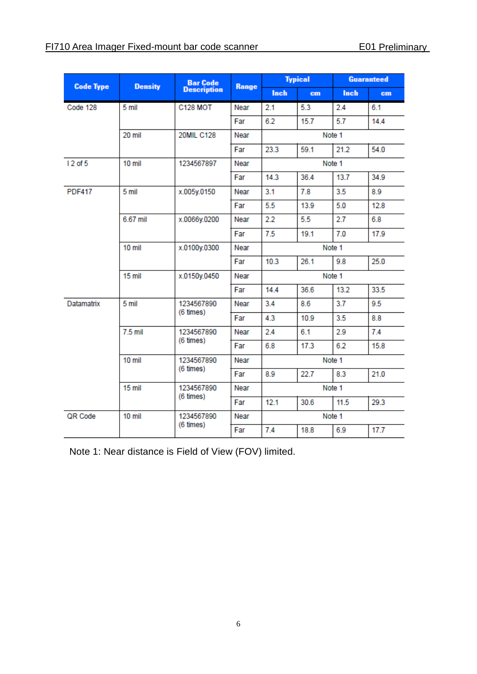| <b>Code Type</b> | <b>Density</b> | <b>Bar Code</b>         |       |             | <b>Typical</b> |        | <b>Guaranteed</b> |  |
|------------------|----------------|-------------------------|-------|-------------|----------------|--------|-------------------|--|
|                  |                | <b>Description</b>      | Range | <b>Inch</b> | cm             | Inch   | cm                |  |
| Code 128         | 5 mil          | <b>C128 MOT</b>         | Near  | 2.1         | 5.3            | 2.4    | 6.1               |  |
|                  |                |                         | Far   | 6.2         | 15.7           | 5.7    | 14.4              |  |
|                  | 20 mil         | <b>20MIL C128</b>       | Near  | Note 1      |                |        |                   |  |
|                  |                |                         | Far   | 23.3        | 59.1           | 21.2   | 54.0              |  |
| 12 of 5          | $10$ mil       | 1234567897              | Near  |             |                | Note 1 |                   |  |
|                  |                |                         | Far   | 14.3        | 36.4           | 13.7   | 34.9              |  |
| <b>PDF417</b>    | 5 mil          | x.005y.0150             | Near  | 3.1         | 7.8            | 3.5    | 8.9               |  |
|                  |                |                         | Far   | 5.5         | 13.9           | 5.0    | 12.8              |  |
|                  | 6.67 mil       | x.0066y.0200            | Near  | 2.2         | 5.5            | 2.7    | 6.8               |  |
|                  |                |                         | Far   | 7.5         | 19.1           | 7.0    | 17.9              |  |
|                  | 10 mil         | x.0100y.0300            | Near  | Note 1      |                |        |                   |  |
|                  |                |                         | Far   | 10.3        | 26.1           | 9.8    | 25.0              |  |
|                  | 15 mil         | x.0150y.0450            | Near  | Note 1      |                |        |                   |  |
|                  |                |                         | Far   | 14.4        | 36.6           | 13.2   | 33.5              |  |
| Datamatrix       | 5 mil          | 1234567890              | Near  | 3.4         | 8.6            | 3.7    | 9.5               |  |
|                  |                | (6 times)               | Far   | 4.3         | 10.9           | 3.5    | 8.8               |  |
|                  | $7.5$ mil      | 1234567890<br>(6 times) | Near  | 2.4         | 6.1            | 2.9    | 7.4               |  |
|                  |                |                         | Far   | 6.8         | 17.3           | 6.2    | 15.8              |  |
|                  | 10 mil         | 1234567890              | Near  |             | Note 1         |        |                   |  |
|                  |                | (6 times)               | Far   | 8.9         | 22.7           | 8.3    | 21.0              |  |
|                  | 15 mil         | 1234567890              | Near  |             |                | Note 1 |                   |  |
|                  |                | (6 times)               | Far   | 12.1        | 30.6           | 11.5   | 29.3              |  |
| QR Code          | 10 mil         | 1234567890              | Near  |             |                | Note 1 |                   |  |
|                  |                | (6 times)               | Far   | 7.4         | 18.8           | 6.9    | 17.7              |  |

Note 1: Near distance is Field of View (FOV) limited.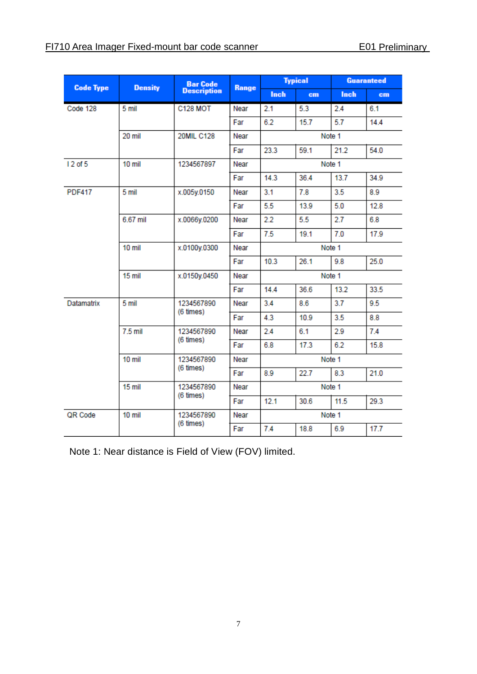| <b>Code Type</b> | <b>Density</b> |                    | <b>Bar Code</b> |        | <b>Typical</b> |        | <b>Guaranteed</b> |  |  |
|------------------|----------------|--------------------|-----------------|--------|----------------|--------|-------------------|--|--|
|                  |                | <b>Description</b> | <b>Range</b>    | Inch   | cm             | Inch   | cm                |  |  |
| Code 128         | 5 mil          | <b>C128 MOT</b>    | Near            | 2.1    | 5.3            | 2.4    | 6.1               |  |  |
|                  |                |                    | Far             | 6.2    | 15.7           | 5.7    | 14.4              |  |  |
|                  | 20 mil         | <b>20MIL C128</b>  | Near            |        | Note 1         |        |                   |  |  |
|                  |                |                    | Far             | 23.3   | 59.1           | 21.2   | 54.0              |  |  |
| 12 of 5          | $10$ mil       | 1234567897         | Near            |        |                | Note 1 |                   |  |  |
|                  |                |                    | Far             | 14.3   | 36.4           | 13.7   | 34.9              |  |  |
| <b>PDF417</b>    | 5 mil          | x.005y.0150        | Near            | 3.1    | 7.8            | 3.5    | 8.9               |  |  |
|                  |                |                    | Far             | 5.5    | 13.9           | 5.0    | 12.8              |  |  |
|                  | 6.67 mil       | x.0066y.0200       | Near            | 2.2    | 5.5            | 2.7    | 6.8               |  |  |
|                  |                |                    | Far             | 7.5    | 19.1           | 7.0    | 17.9              |  |  |
|                  | 10 mil         | x.0100y.0300       | Near            | Note 1 |                |        |                   |  |  |
|                  |                |                    | Far             | 10.3   | 26.1           | 9.8    | 25.0              |  |  |
|                  | 15 mil         | x.0150y.0450       | Near            | Note 1 |                |        |                   |  |  |
|                  |                |                    | Far             | 14.4   | 36.6           | 13.2   | 33.5              |  |  |
| Datamatrix       | 5 mil          | 1234567890         | Near            | 3.4    | 8.6            | 3.7    | 9.5               |  |  |
|                  |                | (6 times)          | Far             | 4.3    | 10.9           | 3.5    | 8.8               |  |  |
|                  | $7.5$ mil      | 1234567890         | Near            | 2.4    | 6.1            | 2.9    | 7.4               |  |  |
|                  | (6 times)      |                    | Far             | 6.8    | 17.3           | 6.2    | 15.8              |  |  |
|                  | 10 mil         | 1234567890         | Near            |        |                | Note 1 |                   |  |  |
|                  |                | (6 times)          | Far             | 8.9    | 22.7           | 8.3    | 21.0              |  |  |
|                  | 15 mil         | 1234567890         | Near            | Note 1 |                |        |                   |  |  |
|                  |                | (6 times)          | Far             | 12.1   | 30.6           | 11.5   | 29.3              |  |  |
| QR Code          | $10$ mil       | 1234567890         | Near            |        |                | Note 1 |                   |  |  |
|                  | (6 times)      |                    | Far             | 7.4    | 18.8           | 6.9    | 17.7              |  |  |

Note 1: Near distance is Field of View (FOV) limited.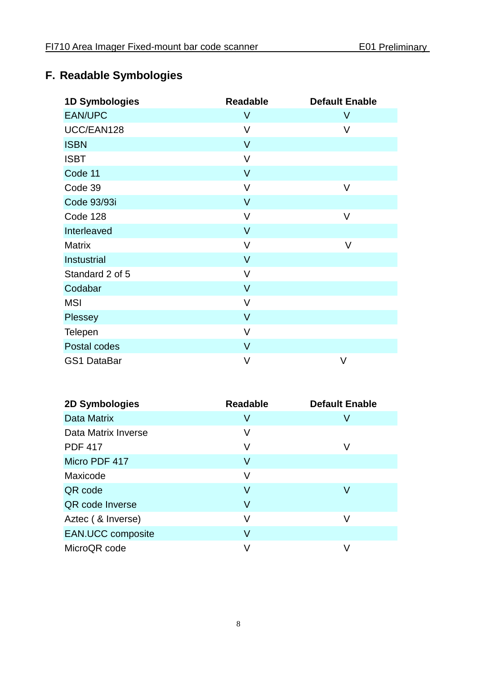# <span id="page-10-0"></span>**F. Readable Symbologies**

| <b>1D Symbologies</b> | <b>Readable</b> | <b>Default Enable</b> |
|-----------------------|-----------------|-----------------------|
| <b>EAN/UPC</b>        | $\vee$          | V                     |
| UCC/EAN128            | V               | V                     |
| <b>ISBN</b>           | $\vee$          |                       |
| <b>ISBT</b>           | $\vee$          |                       |
| Code 11               | $\vee$          |                       |
| Code 39               | V               | V                     |
| Code 93/93i           | $\vee$          |                       |
| Code 128              | V               | V                     |
| Interleaved           | $\vee$          |                       |
| <b>Matrix</b>         | V               | V                     |
| Instustrial           | $\vee$          |                       |
| Standard 2 of 5       | V               |                       |
| Codabar               | $\vee$          |                       |
| <b>MSI</b>            | V               |                       |
| Plessey               | $\vee$          |                       |
| Telepen               | $\vee$          |                       |
| Postal codes          | $\vee$          |                       |
| <b>GS1 DataBar</b>    | $\vee$          | V                     |

| 2D Symbologies           | <b>Readable</b> | <b>Default Enable</b> |
|--------------------------|-----------------|-----------------------|
| Data Matrix              | V               | V                     |
| Data Matrix Inverse      | V               |                       |
| <b>PDF 417</b>           | V               | V                     |
| Micro PDF 417            | V               |                       |
| Maxicode                 | V               |                       |
| QR code                  | V               | V                     |
| QR code Inverse          | V               |                       |
| Aztec ( & Inverse)       | V               | V                     |
| <b>EAN.UCC composite</b> | V               |                       |
| MicroQR code             |                 |                       |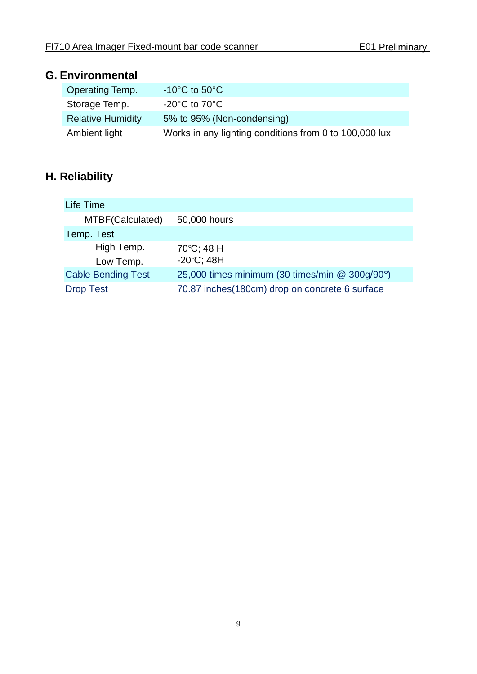#### <span id="page-11-0"></span>**G. Environmental**

| <b>Operating Temp.</b>   | $-10^{\circ}$ C to 50 $^{\circ}$ C                     |
|--------------------------|--------------------------------------------------------|
| Storage Temp.            | $-20^{\circ}$ C to 70 $^{\circ}$ C                     |
| <b>Relative Humidity</b> | 5% to 95% (Non-condensing)                             |
| Ambient light            | Works in any lighting conditions from 0 to 100,000 lux |

# <span id="page-11-1"></span>**H. Reliability**

| Life Time                 |                                                 |
|---------------------------|-------------------------------------------------|
| MTBF(Calculated)          | 50,000 hours                                    |
| Temp. Test                |                                                 |
| High Temp.                | 70°C; 48 H                                      |
| Low Temp.                 | $-20^{\circ}C$ ; 48H                            |
| <b>Cable Bending Test</b> | 25,000 times minimum (30 times/min @ 300g/90°)  |
| <b>Drop Test</b>          | 70.87 inches (180cm) drop on concrete 6 surface |